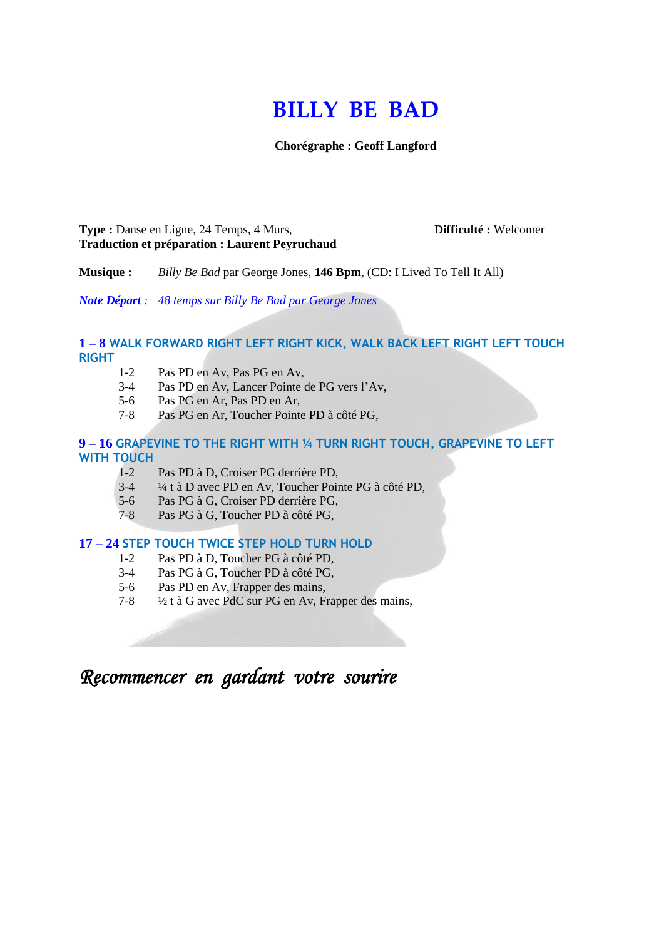# **BILLY BE BAD**

**Chorégraphe : Geoff Langford**

**Type :** Danse en Ligne, 24 Temps, 4 Murs, **Difficulté :** Welcomer **Traduction et préparation : Laurent Peyruchaud**

**Musique :** *Billy Be Bad* par George Jones, **146 Bpm**, (CD: I Lived To Tell It All)

*Note Départ : 48 temps sur Billy Be Bad par George Jones*

# **1 – 8 WALK FORWARD RIGHT LEFT RIGHT KICK, WALK BACK LEFT RIGHT LEFT TOUCH RIGHT**

- 1-2 Pas PD en Av, Pas PG en Av,
- 3-4 Pas PD en Av, Lancer Pointe de PG vers l'Av,
- 5-6 Pas PG en Ar, Pas PD en Ar,
- 7-8 Pas PG en Ar, Toucher Pointe PD à côté PG,

#### **9 – 16 GRAPEVINE TO THE RIGHT WITH ¼ TURN RIGHT TOUCH, GRAPEVINE TO LEFT WITH TOUCH**

- 1-2 Pas PD à D, Croiser PG derrière PD,
- 3-4 ¼ t à D avec PD en Av, Toucher Pointe PG à côté PD,
- 5-6 Pas PG à G, Croiser PD derrière PG,
- 7-8 Pas PG à G, Toucher PD à côté PG,

#### **17 – 24 STEP TOUCH TWICE STEP HOLD TURN HOLD**

- 1-2 Pas PD à D, Toucher PG à côté PD,
- 3-4 Pas PG à G, Toucher PD à côté PG,
- 5-6 Pas PD en Av, Frapper des mains,
- 7-8 ½ t à G avec PdC sur PG en Av, Frapper des mains,

*Recommencer en gardant votre sourire*